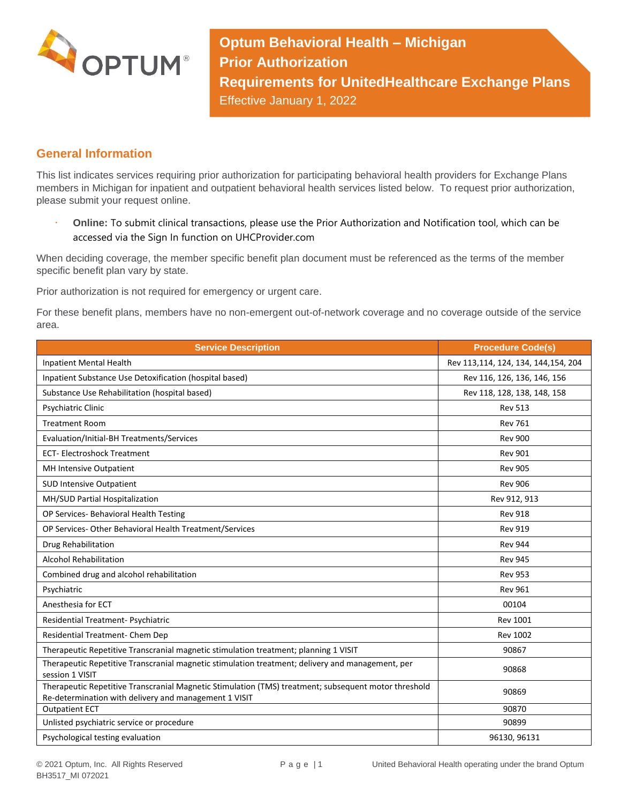

**Optum Behavioral Health – Michigan Prior Authorization Requirements for UnitedHealthcare Exchange Plans** Effective January 1, 2022

## **General Information**

This list indicates services requiring prior authorization for participating behavioral health providers for Exchange Plans members in Michigan for inpatient and outpatient behavioral health services listed below. To request prior authorization, please submit your request online.

 **Online:** To submit clinical transactions, please use the Prior Authorization and Notification tool, which can be accessed via the Sign In function on UHCProvider.com

When deciding coverage, the member specific benefit plan document must be referenced as the terms of the member specific benefit plan vary by state.

Prior authorization is not required for emergency or urgent care.

For these benefit plans, members have no non-emergent out-of-network coverage and no coverage outside of the service area.

| <b>Service Description</b>                                                                                                                                    | <b>Procedure Code(s)</b>            |
|---------------------------------------------------------------------------------------------------------------------------------------------------------------|-------------------------------------|
| Inpatient Mental Health                                                                                                                                       | Rev 113,114, 124, 134, 144,154, 204 |
| Inpatient Substance Use Detoxification (hospital based)                                                                                                       | Rev 116, 126, 136, 146, 156         |
| Substance Use Rehabilitation (hospital based)                                                                                                                 | Rev 118, 128, 138, 148, 158         |
| Psychiatric Clinic                                                                                                                                            | <b>Rev 513</b>                      |
| <b>Treatment Room</b>                                                                                                                                         | <b>Rev 761</b>                      |
| Evaluation/Initial-BH Treatments/Services                                                                                                                     | <b>Rev 900</b>                      |
| <b>ECT-Electroshock Treatment</b>                                                                                                                             | <b>Rev 901</b>                      |
| MH Intensive Outpatient                                                                                                                                       | <b>Rev 905</b>                      |
| <b>SUD Intensive Outpatient</b>                                                                                                                               | <b>Rev 906</b>                      |
| MH/SUD Partial Hospitalization                                                                                                                                | Rev 912, 913                        |
| OP Services- Behavioral Health Testing                                                                                                                        | <b>Rev 918</b>                      |
| OP Services- Other Behavioral Health Treatment/Services                                                                                                       | <b>Rev 919</b>                      |
| Drug Rehabilitation                                                                                                                                           | <b>Rev 944</b>                      |
| <b>Alcohol Rehabilitation</b>                                                                                                                                 | <b>Rev 945</b>                      |
| Combined drug and alcohol rehabilitation                                                                                                                      | <b>Rev 953</b>                      |
| Psychiatric                                                                                                                                                   | <b>Rev 961</b>                      |
| Anesthesia for ECT                                                                                                                                            | 00104                               |
| Residential Treatment- Psychiatric                                                                                                                            | <b>Rev 1001</b>                     |
| Residential Treatment- Chem Dep                                                                                                                               | <b>Rev 1002</b>                     |
| Therapeutic Repetitive Transcranial magnetic stimulation treatment; planning 1 VISIT                                                                          | 90867                               |
| Therapeutic Repetitive Transcranial magnetic stimulation treatment; delivery and management, per<br>session 1 VISIT                                           | 90868                               |
| Therapeutic Repetitive Transcranial Magnetic Stimulation (TMS) treatment; subsequent motor threshold<br>Re-determination with delivery and management 1 VISIT | 90869                               |
| <b>Outpatient ECT</b>                                                                                                                                         | 90870                               |
| Unlisted psychiatric service or procedure                                                                                                                     | 90899                               |
| Psychological testing evaluation                                                                                                                              | 96130, 96131                        |